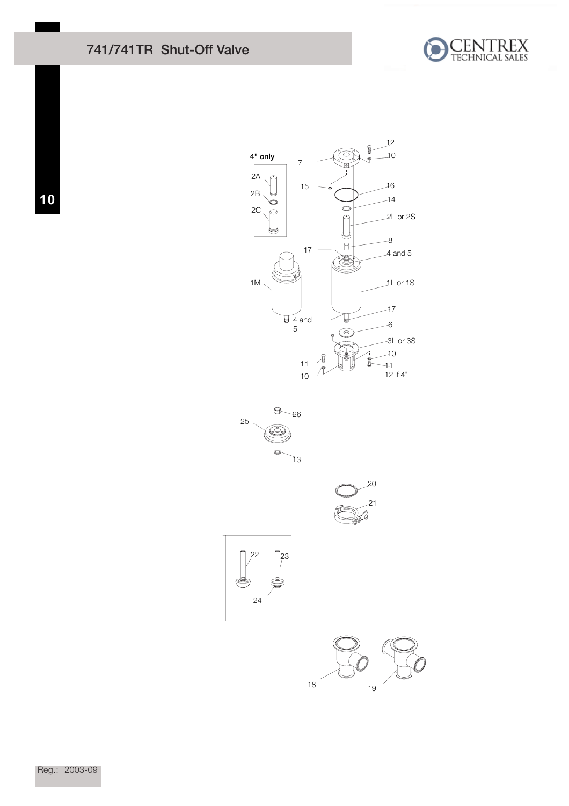## 741/741TR Shut-Off Valve